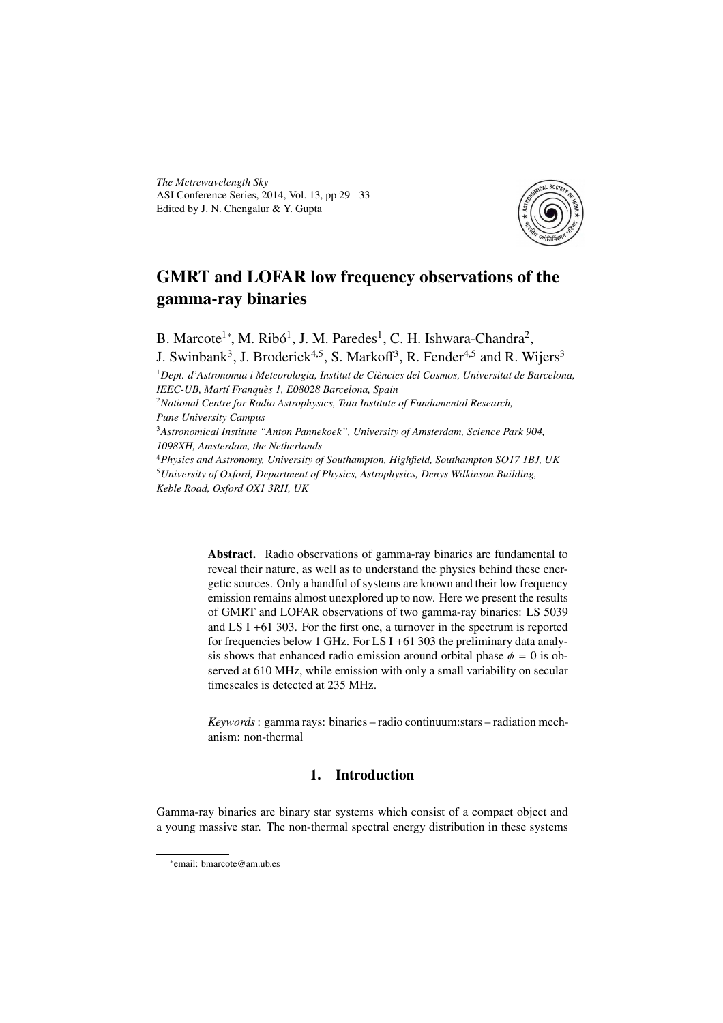*The Metrewavelength Sky* ASI Conference Series, 2014, Vol. 13, pp 29 – 33 Edited by J. N. Chengalur & Y. Gupta



# GMRT and LOFAR low frequency observations of the gamma-ray binaries

B. Marcote<sup>1</sup>\*, M. Ribó<sup>1</sup>, J. M. Paredes<sup>1</sup>, C. H. Ishwara-Chandra<sup>2</sup>, J. Swinbank<sup>3</sup>, J. Broderick<sup>4,5</sup>, S. Markoff<sup>3</sup>, R. Fender<sup>4,5</sup> and R. Wijers<sup>3</sup>

<sup>1</sup>*Dept. d'Astronomia i Meteorologia, Institut de Ciències del Cosmos, Universitat de Barcelona, IEEC-UB, Martí Franquès 1, E08028 Barcelona, Spain*

<sup>2</sup>*National Centre for Radio Astrophysics, Tata Institute of Fundamental Research, Pune University Campus*

<sup>3</sup>*Astronomical Institute "Anton Pannekoek", University of Amsterdam, Science Park 904, 1098XH, Amsterdam, the Netherlands*

<sup>4</sup>*Physics and Astronomy, University of Southampton, Highfield, Southampton SO17 1BJ, UK* <sup>5</sup>*University of Oxford, Department of Physics, Astrophysics, Denys Wilkinson Building, Keble Road, Oxford OX1 3RH, UK*

> Abstract. Radio observations of gamma-ray binaries are fundamental to reveal their nature, as well as to understand the physics behind these energetic sources. Only a handful of systems are known and their low frequency emission remains almost unexplored up to now. Here we present the results of GMRT and LOFAR observations of two gamma-ray binaries: LS 5039 and LS I +61 303. For the first one, a turnover in the spectrum is reported for frequencies below 1 GHz. For LS I +61 303 the preliminary data analysis shows that enhanced radio emission around orbital phase  $\phi = 0$  is observed at 610 MHz, while emission with only a small variability on secular timescales is detected at 235 MHz.

> *Keywords*: gamma rays: binaries – radio continuum:stars – radiation mechanism: non-thermal

## 1. Introduction

Gamma-ray binaries are binary star systems which consist of a compact object and a young massive star. The non-thermal spectral energy distribution in these systems

<sup>∗</sup> email: bmarcote@am.ub.es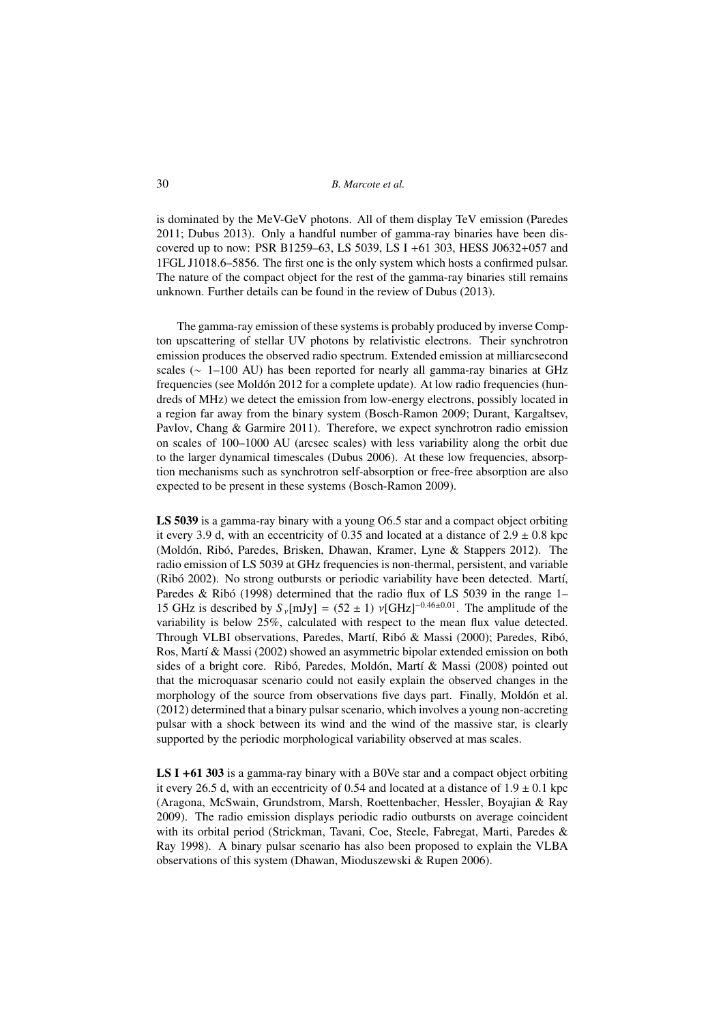30 *B. Marcote et al.*

is dominated by the MeV-GeV photons. All of them display TeV emission (Paredes 2011; Dubus 2013). Only a handful number of gamma-ray binaries have been discovered up to now: PSR B1259–63, LS 5039, LS I +61 303, HESS J0632+057 and 1FGL J1018.6–5856. The first one is the only system which hosts a confirmed pulsar. The nature of the compact object for the rest of the gamma-ray binaries still remains unknown. Further details can be found in the review of Dubus (2013).

The gamma-ray emission of these systems is probably produced by inverse Compton upscattering of stellar UV photons by relativistic electrons. Their synchrotron emission produces the observed radio spectrum. Extended emission at milliarcsecond scales (∼ 1–100 AU) has been reported for nearly all gamma-ray binaries at GHz frequencies (see Moldón 2012 for a complete update). At low radio frequencies (hundreds of MHz) we detect the emission from low-energy electrons, possibly located in a region far away from the binary system (Bosch-Ramon 2009; Durant, Kargaltsev, Pavlov, Chang & Garmire 2011). Therefore, we expect synchrotron radio emission on scales of 100–1000 AU (arcsec scales) with less variability along the orbit due to the larger dynamical timescales (Dubus 2006). At these low frequencies, absorption mechanisms such as synchrotron self-absorption or free-free absorption are also expected to be present in these systems (Bosch-Ramon 2009).

LS 5039 is a gamma-ray binary with a young O6.5 star and a compact object orbiting it every 3.9 d, with an eccentricity of 0.35 and located at a distance of  $2.9 \pm 0.8$  kpc (Moldón, Ribó, Paredes, Brisken, Dhawan, Kramer, Lyne & Stappers 2012). The radio emission of LS 5039 at GHz frequencies is non-thermal, persistent, and variable (Ribó 2002). No strong outbursts or periodic variability have been detected. Martí, Paredes & Ribó (1998) determined that the radio flux of LS 5039 in the range 1– 15 GHz is described by  $S_y[mJy] = (52 \pm 1)$   $v[GHz]^{-0.46 \pm 0.01}$ . The amplitude of the variability is below 25%, calculated with respect to the mean flux value detected. Through VLBI observations, Paredes, Martí, Ribó & Massi (2000); Paredes, Ribó, Ros, Martí & Massi (2002) showed an asymmetric bipolar extended emission on both sides of a bright core. Ribó, Paredes, Moldón, Martí & Massi (2008) pointed out that the microquasar scenario could not easily explain the observed changes in the morphology of the source from observations five days part. Finally, Moldón et al. (2012) determined that a binary pulsar scenario, which involves a young non-accreting pulsar with a shock between its wind and the wind of the massive star, is clearly supported by the periodic morphological variability observed at mas scales.

LS I +61 303 is a gamma-ray binary with a B0Ve star and a compact object orbiting it every 26.5 d, with an eccentricity of 0.54 and located at a distance of  $1.9 \pm 0.1$  kpc (Aragona, McSwain, Grundstrom, Marsh, Roettenbacher, Hessler, Boyajian & Ray 2009). The radio emission displays periodic radio outbursts on average coincident with its orbital period (Strickman, Tavani, Coe, Steele, Fabregat, Marti, Paredes & Ray 1998). A binary pulsar scenario has also been proposed to explain the VLBA observations of this system (Dhawan, Mioduszewski & Rupen 2006).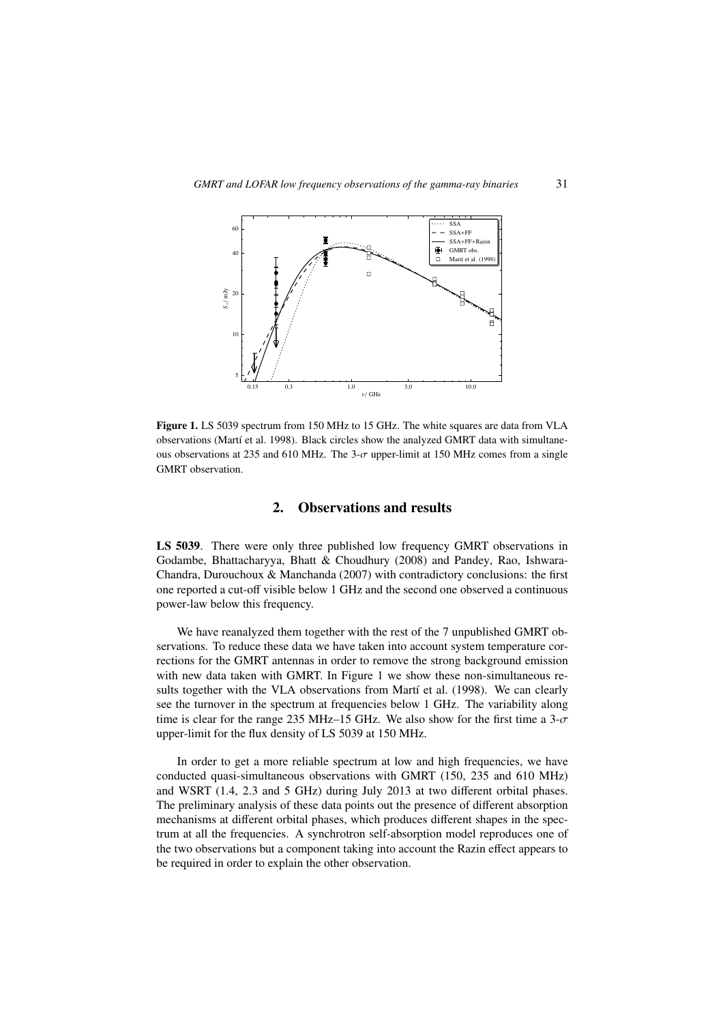

Figure 1. LS 5039 spectrum from 150 MHz to 15 GHz. The white squares are data from VLA observations (Martí et al. 1998). Black circles show the analyzed GMRT data with simultaneous observations at 235 and 610 MHz. The 3- $\sigma$  upper-limit at 150 MHz comes from a single GMRT observation.

#### 2. Observations and results

LS 5039. There were only three published low frequency GMRT observations in Godambe, Bhattacharyya, Bhatt & Choudhury (2008) and Pandey, Rao, Ishwara-Chandra, Durouchoux & Manchanda (2007) with contradictory conclusions: the first one reported a cut-off visible below 1 GHz and the second one observed a continuous power-law below this frequency.

We have reanalyzed them together with the rest of the 7 unpublished GMRT observations. To reduce these data we have taken into account system temperature corrections for the GMRT antennas in order to remove the strong background emission with new data taken with GMRT. In Figure 1 we show these non-simultaneous results together with the VLA observations from Martí et al. (1998). We can clearly see the turnover in the spectrum at frequencies below 1 GHz. The variability along time is clear for the range 235 MHz–15 GHz. We also show for the first time a  $3-\sigma$ upper-limit for the flux density of LS 5039 at 150 MHz.

In order to get a more reliable spectrum at low and high frequencies, we have conducted quasi-simultaneous observations with GMRT (150, 235 and 610 MHz) and WSRT (1.4, 2.3 and 5 GHz) during July 2013 at two different orbital phases. The preliminary analysis of these data points out the presence of different absorption mechanisms at different orbital phases, which produces different shapes in the spectrum at all the frequencies. A synchrotron self-absorption model reproduces one of the two observations but a component taking into account the Razin effect appears to be required in order to explain the other observation.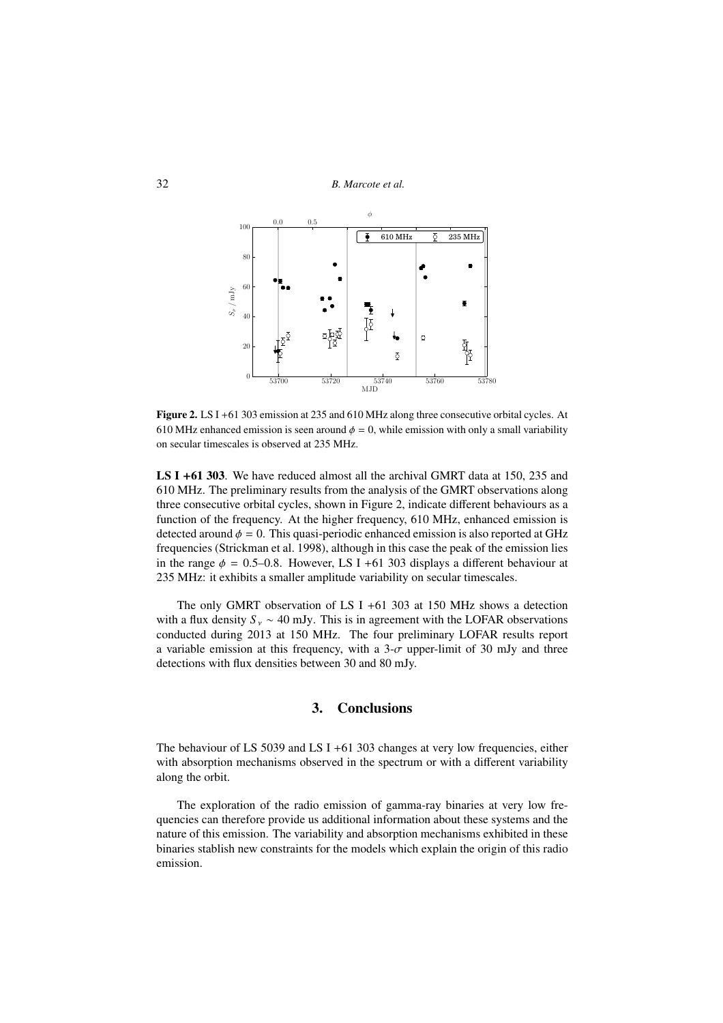

Figure 2. LS I +61 303 emission at 235 and 610 MHz along three consecutive orbital cycles. At 610 MHz enhanced emission is seen around  $\phi = 0$ , while emission with only a small variability on secular timescales is observed at 235 MHz.

LS I +61 303. We have reduced almost all the archival GMRT data at 150, 235 and 610 MHz. The preliminary results from the analysis of the GMRT observations along three consecutive orbital cycles, shown in Figure 2, indicate different behaviours as a function of the frequency. At the higher frequency, 610 MHz, enhanced emission is detected around  $\phi = 0$ . This quasi-periodic enhanced emission is also reported at GHz frequencies (Strickman et al. 1998), although in this case the peak of the emission lies in the range  $\phi = 0.5{\text -}0.8$ . However, LS I +61 303 displays a different behaviour at 235 MHz: it exhibits a smaller amplitude variability on secular timescales.

The only GMRT observation of LS I +61 303 at 150 MHz shows a detection with a flux density  $S_y \sim 40$  mJy. This is in agreement with the LOFAR observations conducted during 2013 at 150 MHz. The four preliminary LOFAR results report a variable emission at this frequency, with a  $3-\sigma$  upper-limit of 30 mJy and three detections with flux densities between 30 and 80 mJy.

#### 3. Conclusions

The behaviour of LS 5039 and LS I +61 303 changes at very low frequencies, either with absorption mechanisms observed in the spectrum or with a different variability along the orbit.

The exploration of the radio emission of gamma-ray binaries at very low frequencies can therefore provide us additional information about these systems and the nature of this emission. The variability and absorption mechanisms exhibited in these binaries stablish new constraints for the models which explain the origin of this radio emission.